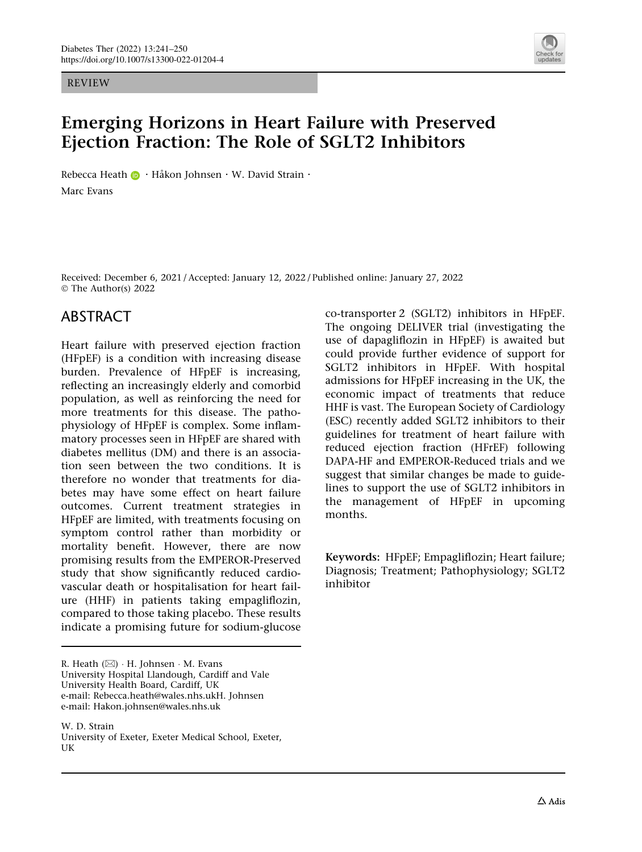REVIEW



# Emerging Horizons in Heart Failure with Preserved Ejection Fraction: The Role of SGLT2 Inhibitors

Rebecca Heat[h](http://orcid.org/0000-0001-5591-5417) **D** · Håkon Johnsen · W. David Strain · Marc Evans

Received: December 6, 2021 / Accepted: January 12, 2022 / Published online: January 27, 2022 © The Author(s) 2022

### ABSTRACT

Heart failure with preserved ejection fraction (HFpEF) is a condition with increasing disease burden. Prevalence of HFpEF is increasing, reflecting an increasingly elderly and comorbid population, as well as reinforcing the need for more treatments for this disease. The pathophysiology of HFpEF is complex. Some inflammatory processes seen in HFpEF are shared with diabetes mellitus (DM) and there is an association seen between the two conditions. It is therefore no wonder that treatments for diabetes may have some effect on heart failure outcomes. Current treatment strategies in HFpEF are limited, with treatments focusing on symptom control rather than morbidity or mortality benefit. However, there are now promising results from the EMPEROR-Preserved study that show significantly reduced cardiovascular death or hospitalisation for heart failure (HHF) in patients taking empagliflozin, compared to those taking placebo. These results indicate a promising future for sodium-glucose

co-transporter 2 (SGLT2) inhibitors in HFpEF. The ongoing DELIVER trial (investigating the use of dapagliflozin in HFpEF) is awaited but could provide further evidence of support for SGLT2 inhibitors in HFpEF. With hospital admissions for HFpEF increasing in the UK, the economic impact of treatments that reduce HHF is vast. The European Society of Cardiology (ESC) recently added SGLT2 inhibitors to their guidelines for treatment of heart failure with reduced ejection fraction (HFrEF) following DAPA-HF and EMPEROR-Reduced trials and we suggest that similar changes be made to guidelines to support the use of SGLT2 inhibitors in the management of HFpEF in upcoming months.

Keywords: HFpEF; Empagliflozin; Heart failure; Diagnosis; Treatment; Pathophysiology; SGLT2 inhibitor

R. Heath (⊠) · H. Johnsen · M. Evans University Hospital Llandough, Cardiff and Vale University Health Board, Cardiff, UK e-mail: Rebecca.heath@wales.nhs.ukH. Johnsen e-mail: Hakon.johnsen@wales.nhs.uk

W. D. Strain University of Exeter, Exeter Medical School, Exeter, UK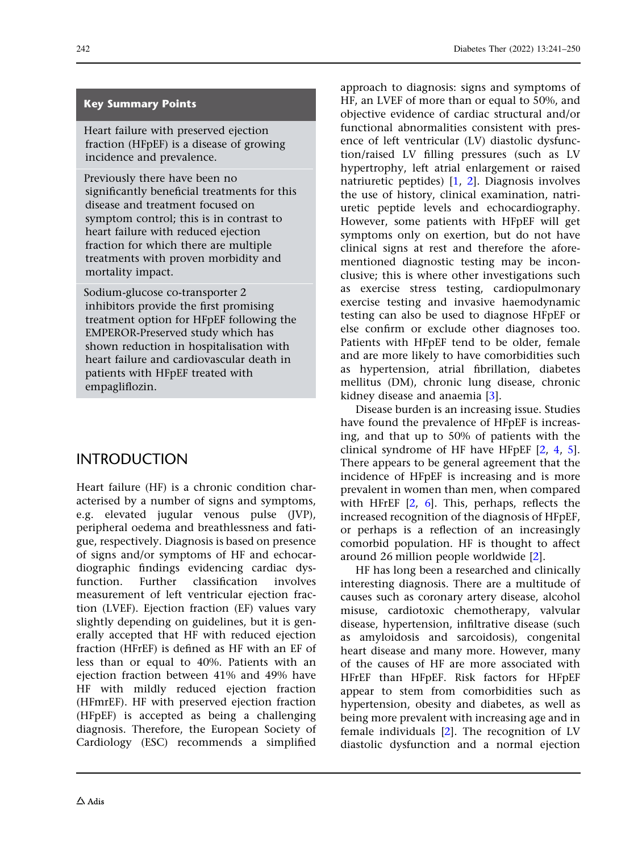#### Key Summary Points

Heart failure with preserved ejection fraction (HFpEF) is a disease of growing incidence and prevalence.

Previously there have been no significantly beneficial treatments for this disease and treatment focused on symptom control; this is in contrast to heart failure with reduced ejection fraction for which there are multiple treatments with proven morbidity and mortality impact.

Sodium-glucose co-transporter 2 inhibitors provide the first promising treatment option for HFpEF following the EMPEROR-Preserved study which has shown reduction in hospitalisation with heart failure and cardiovascular death in patients with HFpEF treated with empagliflozin.

## INTRODUCTION

Heart failure (HF) is a chronic condition characterised by a number of signs and symptoms, e.g. elevated jugular venous pulse (JVP), peripheral oedema and breathlessness and fatigue, respectively. Diagnosis is based on presence of signs and/or symptoms of HF and echocardiographic findings evidencing cardiac dysfunction. Further classification involves measurement of left ventricular ejection fraction (LVEF). Ejection fraction (EF) values vary slightly depending on guidelines, but it is generally accepted that HF with reduced ejection fraction (HFrEF) is defined as HF with an EF of less than or equal to 40%. Patients with an ejection fraction between 41% and 49% have HF with mildly reduced ejection fraction (HFmrEF). HF with preserved ejection fraction (HFpEF) is accepted as being a challenging diagnosis. Therefore, the European Society of Cardiology (ESC) recommends a simplified

approach to diagnosis: signs and symptoms of HF, an LVEF of more than or equal to 50%, and objective evidence of cardiac structural and/or functional abnormalities consistent with presence of left ventricular (LV) diastolic dysfunction/raised LV filling pressures (such as LV hypertrophy, left atrial enlargement or raised natriuretic peptides) [\[1,](#page-8-0) [2](#page-8-0)]. Diagnosis involves the use of history, clinical examination, natriuretic peptide levels and echocardiography. However, some patients with HFpEF will get symptoms only on exertion, but do not have clinical signs at rest and therefore the aforementioned diagnostic testing may be inconclusive; this is where other investigations such as exercise stress testing, cardiopulmonary exercise testing and invasive haemodynamic testing can also be used to diagnose HFpEF or else confirm or exclude other diagnoses too. Patients with HFpEF tend to be older, female and are more likely to have comorbidities such as hypertension, atrial fibrillation, diabetes mellitus (DM), chronic lung disease, chronic kidney disease and anaemia [[3\]](#page-8-0).

Disease burden is an increasing issue. Studies have found the prevalence of HFpEF is increasing, and that up to 50% of patients with the clinical syndrome of HF have HFpEF [[2](#page-8-0), [4](#page-8-0), [5](#page-8-0)]. There appears to be general agreement that the incidence of HFpEF is increasing and is more prevalent in women than men, when compared with HFrEF [[2,](#page-8-0) [6\]](#page-8-0). This, perhaps, reflects the increased recognition of the diagnosis of HFpEF, or perhaps is a reflection of an increasingly comorbid population. HF is thought to affect around 26 million people worldwide [[2](#page-8-0)].

HF has long been a researched and clinically interesting diagnosis. There are a multitude of causes such as coronary artery disease, alcohol misuse, cardiotoxic chemotherapy, valvular disease, hypertension, infiltrative disease (such as amyloidosis and sarcoidosis), congenital heart disease and many more. However, many of the causes of HF are more associated with HFrEF than HFpEF. Risk factors for HFpEF appear to stem from comorbidities such as hypertension, obesity and diabetes, as well as being more prevalent with increasing age and in female individuals [\[2](#page-8-0)]. The recognition of LV diastolic dysfunction and a normal ejection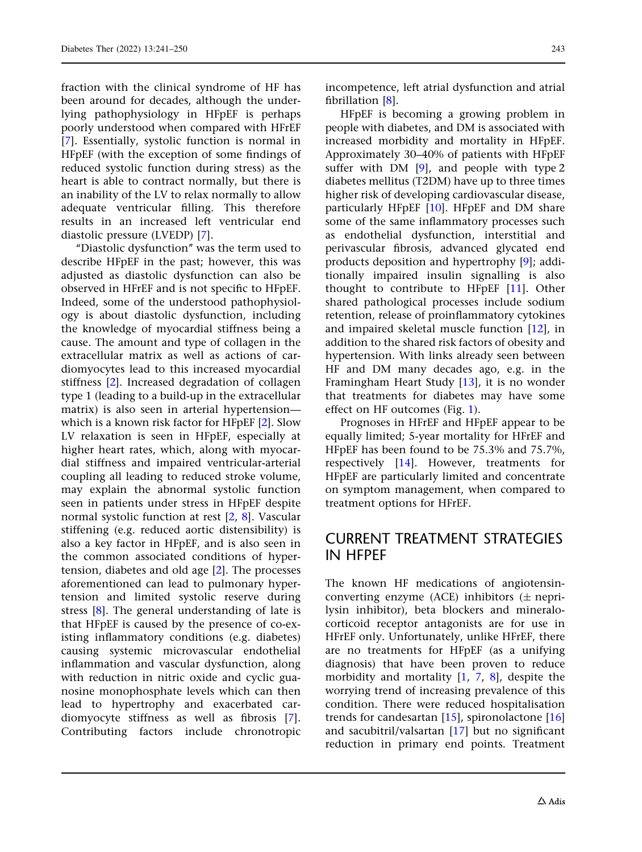fraction with the clinical syndrome of HF has been around for decades, although the underlying pathophysiology in HFpEF is perhaps poorly understood when compared with HFrEF [\[7\]](#page-8-0). Essentially, systolic function is normal in HFpEF (with the exception of some findings of reduced systolic function during stress) as the heart is able to contract normally, but there is an inability of the LV to relax normally to allow adequate ventricular filling. This therefore results in an increased left ventricular end diastolic pressure (LVEDP) [\[7\]](#page-8-0).

''Diastolic dysfunction'' was the term used to describe HFpEF in the past; however, this was adjusted as diastolic dysfunction can also be observed in HFrEF and is not specific to HFpEF. Indeed, some of the understood pathophysiology is about diastolic dysfunction, including the knowledge of myocardial stiffness being a cause. The amount and type of collagen in the extracellular matrix as well as actions of cardiomyocytes lead to this increased myocardial stiffness [[2](#page-8-0)]. Increased degradation of collagen type 1 (leading to a build-up in the extracellular matrix) is also seen in arterial hypertension which is a known risk factor for HFpEF [[2](#page-8-0)]. Slow LV relaxation is seen in HFpEF, especially at higher heart rates, which, along with myocardial stiffness and impaired ventricular-arterial coupling all leading to reduced stroke volume, may explain the abnormal systolic function seen in patients under stress in HFpEF despite normal systolic function at rest [\[2,](#page-8-0) [8\]](#page-8-0). Vascular stiffening (e.g. reduced aortic distensibility) is also a key factor in HFpEF, and is also seen in the common associated conditions of hypertension, diabetes and old age [\[2\]](#page-8-0). The processes aforementioned can lead to pulmonary hypertension and limited systolic reserve during stress [[8\]](#page-8-0). The general understanding of late is that HFpEF is caused by the presence of co-existing inflammatory conditions (e.g. diabetes) causing systemic microvascular endothelial inflammation and vascular dysfunction, along with reduction in nitric oxide and cyclic guanosine monophosphate levels which can then lead to hypertrophy and exacerbated cardiomyocyte stiffness as well as fibrosis [\[7\]](#page-8-0). Contributing factors include chronotropic

incompetence, left atrial dysfunction and atrial fibrillation [\[8\]](#page-8-0).

HFpEF is becoming a growing problem in people with diabetes, and DM is associated with increased morbidity and mortality in HFpEF. Approximately 30–40% of patients with HFpEF suffer with DM  $[9]$  $[9]$  $[9]$ , and people with type 2 diabetes mellitus (T2DM) have up to three times higher risk of developing cardiovascular disease, particularly HFpEF [\[10\]](#page-8-0). HFpEF and DM share some of the same inflammatory processes such as endothelial dysfunction, interstitial and perivascular fibrosis, advanced glycated end products deposition and hypertrophy [\[9](#page-8-0)]; additionally impaired insulin signalling is also thought to contribute to HFpEF [\[11\]](#page-8-0). Other shared pathological processes include sodium retention, release of proinflammatory cytokines and impaired skeletal muscle function [[12](#page-8-0)], in addition to the shared risk factors of obesity and hypertension. With links already seen between HF and DM many decades ago, e.g. in the Framingham Heart Study [\[13\]](#page-8-0), it is no wonder that treatments for diabetes may have some effect on HF outcomes (Fig. [1\)](#page-3-0).

Prognoses in HFrEF and HFpEF appear to be equally limited; 5-year mortality for HFrEF and HFpEF has been found to be 75.3% and 75.7%, respectively [[14](#page-8-0)]. However, treatments for HFpEF are particularly limited and concentrate on symptom management, when compared to treatment options for HFrEF.

#### CURRENT TREATMENT STRATEGIES IN HFPEF

The known HF medications of angiotensinconverting enzyme (ACE) inhibitors  $(\pm$  neprilysin inhibitor), beta blockers and mineralocorticoid receptor antagonists are for use in HFrEF only. Unfortunately, unlike HFrEF, there are no treatments for HFpEF (as a unifying diagnosis) that have been proven to reduce morbidity and mortality [[1](#page-8-0), [7,](#page-8-0) [8](#page-8-0)], despite the worrying trend of increasing prevalence of this condition. There were reduced hospitalisation trends for candesartan [[15](#page-8-0)], spironolactone [[16](#page-8-0)] and sacubitril/valsartan [\[17\]](#page-8-0) but no significant reduction in primary end points. Treatment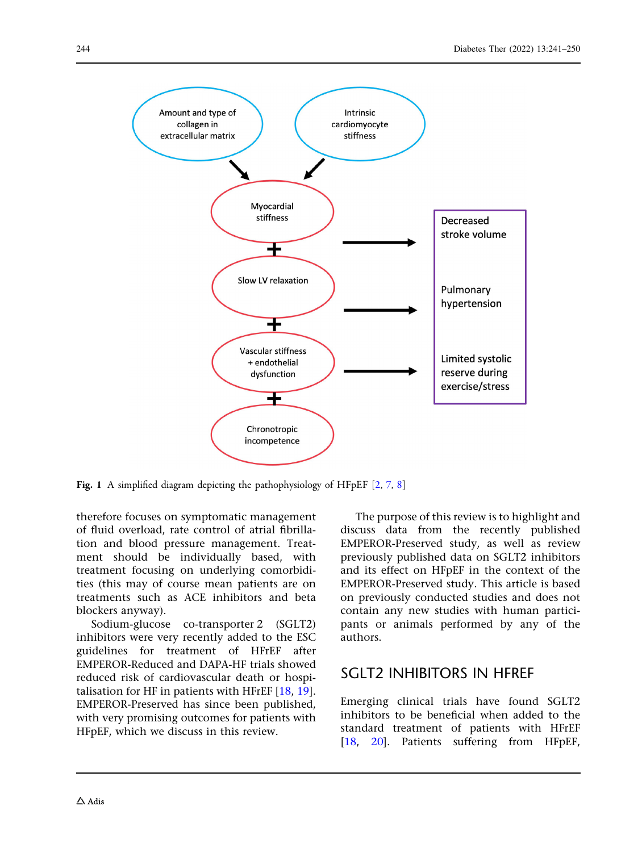<span id="page-3-0"></span>

Fig. 1 A simplified diagram depicting the pathophysiology of HFpEF [\[2](#page-8-0), [7](#page-8-0), [8](#page-8-0)]

therefore focuses on symptomatic management of fluid overload, rate control of atrial fibrillation and blood pressure management. Treatment should be individually based, with treatment focusing on underlying comorbidities (this may of course mean patients are on treatments such as ACE inhibitors and beta blockers anyway).

Sodium-glucose co-transporter 2 (SGLT2) inhibitors were very recently added to the ESC guidelines for treatment of HFrEF after EMPEROR-Reduced and DAPA-HF trials showed reduced risk of cardiovascular death or hospitalisation for HF in patients with HFrEF [[18](#page-8-0), [19](#page-8-0)]. EMPEROR-Preserved has since been published, with very promising outcomes for patients with HFpEF, which we discuss in this review.

The purpose of this review is to highlight and discuss data from the recently published EMPEROR-Preserved study, as well as review previously published data on SGLT2 inhibitors and its effect on HFpEF in the context of the EMPEROR-Preserved study. This article is based on previously conducted studies and does not contain any new studies with human participants or animals performed by any of the authors.

#### SGLT2 INHIBITORS IN HFREF

Emerging clinical trials have found SGLT2 inhibitors to be beneficial when added to the standard treatment of patients with HFrEF [\[18,](#page-8-0) [20\]](#page-8-0). Patients suffering from HFpEF,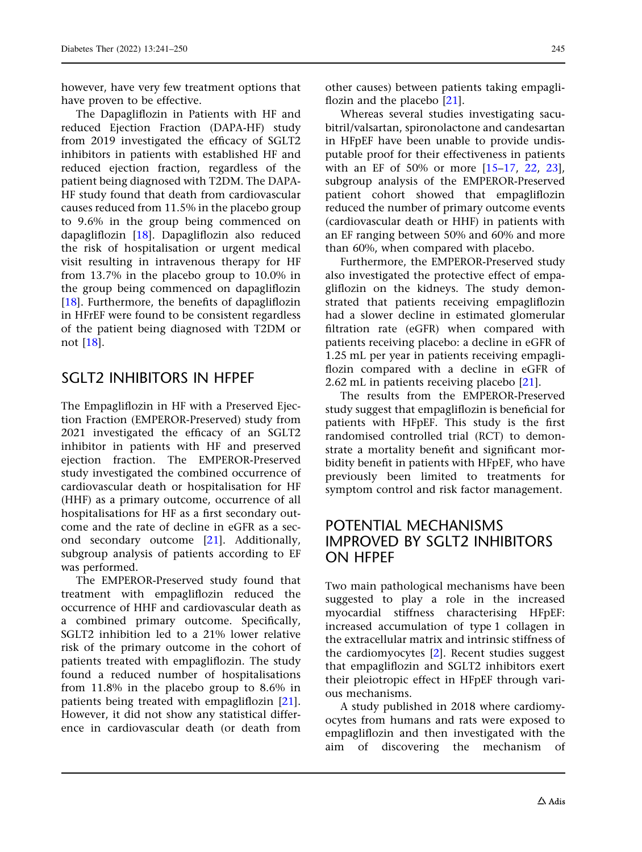however, have very few treatment options that have proven to be effective.

The Dapagliflozin in Patients with HF and reduced Ejection Fraction (DAPA-HF) study from 2019 investigated the efficacy of SGLT2 inhibitors in patients with established HF and reduced ejection fraction, regardless of the patient being diagnosed with T2DM. The DAPA-HF study found that death from cardiovascular causes reduced from 11.5% in the placebo group to 9.6% in the group being commenced on dapagliflozin [\[18\]](#page-8-0). Dapagliflozin also reduced the risk of hospitalisation or urgent medical visit resulting in intravenous therapy for HF from 13.7% in the placebo group to 10.0% in the group being commenced on dapagliflozin [\[18](#page-8-0)]. Furthermore, the benefits of dapagliflozin in HFrEF were found to be consistent regardless of the patient being diagnosed with T2DM or not [[18\]](#page-8-0).

### SGLT2 INHIBITORS IN HEPFF

The Empagliflozin in HF with a Preserved Ejection Fraction (EMPEROR-Preserved) study from 2021 investigated the efficacy of an SGLT2 inhibitor in patients with HF and preserved ejection fraction. The EMPEROR-Preserved study investigated the combined occurrence of cardiovascular death or hospitalisation for HF (HHF) as a primary outcome, occurrence of all hospitalisations for HF as a first secondary outcome and the rate of decline in eGFR as a second secondary outcome [[21](#page-8-0)]. Additionally, subgroup analysis of patients according to EF was performed.

The EMPEROR-Preserved study found that treatment with empagliflozin reduced the occurrence of HHF and cardiovascular death as a combined primary outcome. Specifically, SGLT2 inhibition led to a 21% lower relative risk of the primary outcome in the cohort of patients treated with empagliflozin. The study found a reduced number of hospitalisations from 11.8% in the placebo group to 8.6% in patients being treated with empagliflozin [[21\]](#page-8-0). However, it did not show any statistical difference in cardiovascular death (or death from

other causes) between patients taking empagliflozin and the placebo [[21](#page-8-0)].

Whereas several studies investigating sacubitril/valsartan, spironolactone and candesartan in HFpEF have been unable to provide undisputable proof for their effectiveness in patients with an EF of 50% or more [[15–17,](#page-8-0) [22](#page-8-0), [23](#page-9-0)], subgroup analysis of the EMPEROR-Preserved patient cohort showed that empagliflozin reduced the number of primary outcome events (cardiovascular death or HHF) in patients with an EF ranging between 50% and 60% and more than 60%, when compared with placebo.

Furthermore, the EMPEROR-Preserved study also investigated the protective effect of empagliflozin on the kidneys. The study demonstrated that patients receiving empagliflozin had a slower decline in estimated glomerular filtration rate (eGFR) when compared with patients receiving placebo: a decline in eGFR of 1.25 mL per year in patients receiving empagliflozin compared with a decline in eGFR of 2.62 mL in patients receiving placebo [[21](#page-8-0)].

The results from the EMPEROR-Preserved study suggest that empagliflozin is beneficial for patients with HFpEF. This study is the first randomised controlled trial (RCT) to demonstrate a mortality benefit and significant morbidity benefit in patients with HFpEF, who have previously been limited to treatments for symptom control and risk factor management.

#### POTENTIAL MECHANISMS IMPROVED BY SGLT2 INHIBITORS ON HFPEF

Two main pathological mechanisms have been suggested to play a role in the increased myocardial stiffness characterising HFpEF: increased accumulation of type 1 collagen in the extracellular matrix and intrinsic stiffness of the cardiomyocytes [\[2\]](#page-8-0). Recent studies suggest that empagliflozin and SGLT2 inhibitors exert their pleiotropic effect in HFpEF through various mechanisms.

A study published in 2018 where cardiomyocytes from humans and rats were exposed to empagliflozin and then investigated with the aim of discovering the mechanism of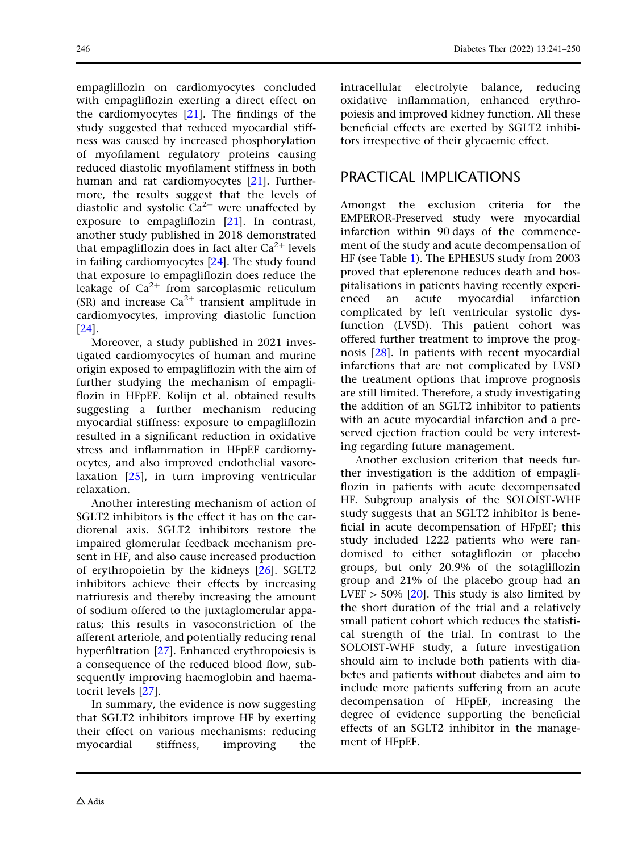empagliflozin on cardiomyocytes concluded with empagliflozin exerting a direct effect on the cardiomyocytes [\[21\]](#page-8-0). The findings of the study suggested that reduced myocardial stiffness was caused by increased phosphorylation of myofilament regulatory proteins causing reduced diastolic myofilament stiffness in both human and rat cardiomyocytes [[21](#page-8-0)]. Furthermore, the results suggest that the levels of diastolic and systolic  $Ca^{2+}$  were unaffected by exposure to empagliflozin [[21](#page-8-0)]. In contrast, another study published in 2018 demonstrated that empagliflozin does in fact alter  $Ca^{2+}$  levels in failing cardiomyocytes [[24](#page-9-0)]. The study found that exposure to empagliflozin does reduce the leakage of  $Ca^{2+}$  from sarcoplasmic reticulum (SR) and increase  $Ca^{2+}$  transient amplitude in cardiomyocytes, improving diastolic function [\[24\]](#page-9-0).

Moreover, a study published in 2021 investigated cardiomyocytes of human and murine origin exposed to empagliflozin with the aim of further studying the mechanism of empagliflozin in HFpEF. Kolijn et al. obtained results suggesting a further mechanism reducing myocardial stiffness: exposure to empagliflozin resulted in a significant reduction in oxidative stress and inflammation in HFpEF cardiomyocytes, and also improved endothelial vasorelaxation [\[25\]](#page-9-0), in turn improving ventricular relaxation.

Another interesting mechanism of action of SGLT2 inhibitors is the effect it has on the cardiorenal axis. SGLT2 inhibitors restore the impaired glomerular feedback mechanism present in HF, and also cause increased production of erythropoietin by the kidneys [\[26](#page-9-0)]. SGLT2 inhibitors achieve their effects by increasing natriuresis and thereby increasing the amount of sodium offered to the juxtaglomerular apparatus; this results in vasoconstriction of the afferent arteriole, and potentially reducing renal hyperfiltration [[27](#page-9-0)]. Enhanced erythropoiesis is a consequence of the reduced blood flow, subsequently improving haemoglobin and haematocrit levels [[27](#page-9-0)].

In summary, the evidence is now suggesting that SGLT2 inhibitors improve HF by exerting their effect on various mechanisms: reducing myocardial stiffness, improving the intracellular electrolyte balance, reducing oxidative inflammation, enhanced erythropoiesis and improved kidney function. All these beneficial effects are exerted by SGLT2 inhibitors irrespective of their glycaemic effect.

# PRACTICAL IMPLICATIONS

Amongst the exclusion criteria for the EMPEROR-Preserved study were myocardial infarction within 90 days of the commencement of the study and acute decompensation of HF (see Table [1\)](#page-6-0). The EPHESUS study from 2003 proved that eplerenone reduces death and hospitalisations in patients having recently experienced an acute myocardial infarction complicated by left ventricular systolic dysfunction (LVSD). This patient cohort was offered further treatment to improve the prognosis [[28](#page-9-0)]. In patients with recent myocardial infarctions that are not complicated by LVSD the treatment options that improve prognosis are still limited. Therefore, a study investigating the addition of an SGLT2 inhibitor to patients with an acute myocardial infarction and a preserved ejection fraction could be very interesting regarding future management.

Another exclusion criterion that needs further investigation is the addition of empagliflozin in patients with acute decompensated HF. Subgroup analysis of the SOLOIST-WHF study suggests that an SGLT2 inhibitor is beneficial in acute decompensation of HFpEF; this study included 1222 patients who were randomised to either sotagliflozin or placebo groups, but only 20.9% of the sotagliflozin group and 21% of the placebo group had an LVEF  $> 50\%$  [\[20](#page-8-0)]. This study is also limited by the short duration of the trial and a relatively small patient cohort which reduces the statistical strength of the trial. In contrast to the SOLOIST-WHF study, a future investigation should aim to include both patients with diabetes and patients without diabetes and aim to include more patients suffering from an acute decompensation of HFpEF, increasing the degree of evidence supporting the beneficial effects of an SGLT2 inhibitor in the management of HFpEF.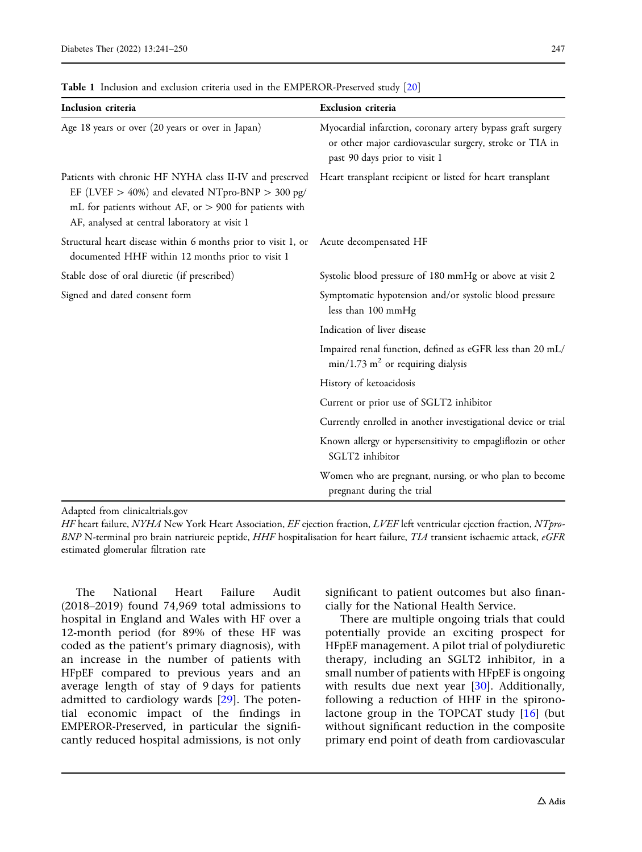| Inclusion criteria                                                                                                                                                                                                           | <b>Exclusion criteria</b>                                                                                                                               |
|------------------------------------------------------------------------------------------------------------------------------------------------------------------------------------------------------------------------------|---------------------------------------------------------------------------------------------------------------------------------------------------------|
| Age 18 years or over (20 years or over in Japan)                                                                                                                                                                             | Myocardial infarction, coronary artery bypass graft surgery<br>or other major cardiovascular surgery, stroke or TIA in<br>past 90 days prior to visit 1 |
| Patients with chronic HF NYHA class II-IV and preserved<br>EF (LVEF $>$ 40%) and elevated NTpro-BNP $>$ 300 pg/<br>mL for patients without AF, or $> 900$ for patients with<br>AF, analysed at central laboratory at visit 1 | Heart transplant recipient or listed for heart transplant                                                                                               |
| Structural heart disease within 6 months prior to visit 1, or<br>documented HHF within 12 months prior to visit 1                                                                                                            | Acute decompensated HF                                                                                                                                  |
| Stable dose of oral diuretic (if prescribed)                                                                                                                                                                                 | Systolic blood pressure of 180 mmHg or above at visit 2                                                                                                 |
| Signed and dated consent form                                                                                                                                                                                                | Symptomatic hypotension and/or systolic blood pressure<br>less than 100 mmHg                                                                            |
|                                                                                                                                                                                                                              | Indication of liver disease                                                                                                                             |
|                                                                                                                                                                                                                              | Impaired renal function, defined as eGFR less than 20 mL/<br>$min/1.73$ m <sup>2</sup> or requiring dialysis                                            |
|                                                                                                                                                                                                                              | History of ketoacidosis                                                                                                                                 |
|                                                                                                                                                                                                                              | Current or prior use of SGLT2 inhibitor                                                                                                                 |
|                                                                                                                                                                                                                              | Currently enrolled in another investigational device or trial                                                                                           |
|                                                                                                                                                                                                                              | Known allergy or hypersensitivity to empagliflozin or other<br>SGLT2 inhibitor                                                                          |
|                                                                                                                                                                                                                              | Women who are pregnant, nursing, or who plan to become<br>pregnant during the trial                                                                     |

<span id="page-6-0"></span>Table 1 Inclusion and exclusion criteria used in the EMPEROR-Preserved study [[20](#page-8-0)]

Adapted from clinicaltrials.gov

HF heart failure, NYHA New York Heart Association, EF ejection fraction, LVEF left ventricular ejection fraction, NTpro-BNP N-terminal pro brain natriureic peptide, HHF hospitalisation for heart failure, TIA transient ischaemic attack, eGFR estimated glomerular filtration rate

The National Heart Failure Audit (2018–2019) found 74,969 total admissions to hospital in England and Wales with HF over a 12-month period (for 89% of these HF was coded as the patient's primary diagnosis), with an increase in the number of patients with HFpEF compared to previous years and an average length of stay of 9 days for patients admitted to cardiology wards [[29](#page-9-0)]. The potential economic impact of the findings in EMPEROR-Preserved, in particular the significantly reduced hospital admissions, is not only

significant to patient outcomes but also financially for the National Health Service.

There are multiple ongoing trials that could potentially provide an exciting prospect for HFpEF management. A pilot trial of polydiuretic therapy, including an SGLT2 inhibitor, in a small number of patients with HFpEF is ongoing with results due next year [\[30\]](#page-9-0). Additionally, following a reduction of HHF in the spironolactone group in the TOPCAT study [[16](#page-8-0)] (but without significant reduction in the composite primary end point of death from cardiovascular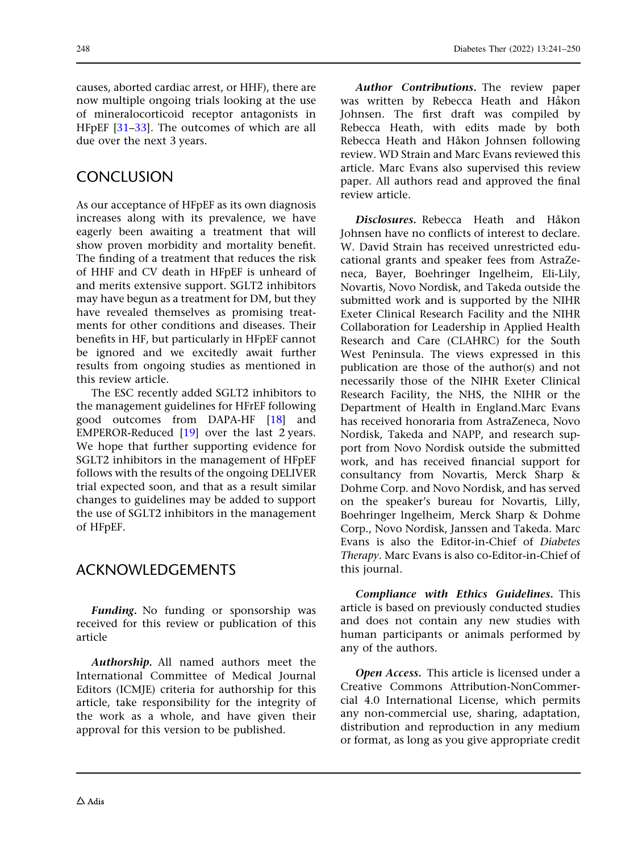causes, aborted cardiac arrest, or HHF), there are now multiple ongoing trials looking at the use of mineralocorticoid receptor antagonists in HFpEF [\[31–33](#page-9-0)]. The outcomes of which are all due over the next 3 years.

# **CONCLUSION**

As our acceptance of HFpEF as its own diagnosis increases along with its prevalence, we have eagerly been awaiting a treatment that will show proven morbidity and mortality benefit. The finding of a treatment that reduces the risk of HHF and CV death in HFpEF is unheard of and merits extensive support. SGLT2 inhibitors may have begun as a treatment for DM, but they have revealed themselves as promising treatments for other conditions and diseases. Their benefits in HF, but particularly in HFpEF cannot be ignored and we excitedly await further results from ongoing studies as mentioned in this review article.

The ESC recently added SGLT2 inhibitors to the management guidelines for HFrEF following good outcomes from DAPA-HF [[18\]](#page-8-0) and EMPEROR-Reduced [\[19](#page-8-0)] over the last 2 years. We hope that further supporting evidence for SGLT2 inhibitors in the management of HFpEF follows with the results of the ongoing DELIVER trial expected soon, and that as a result similar changes to guidelines may be added to support the use of SGLT2 inhibitors in the management of HFpEF.

### ACKNOWLEDGEMENTS

Funding. No funding or sponsorship was received for this review or publication of this article

Authorship. All named authors meet the International Committee of Medical Journal Editors (ICMJE) criteria for authorship for this article, take responsibility for the integrity of the work as a whole, and have given their approval for this version to be published.

Author Contributions. The review paper was written by Rebecca Heath and Håkon Johnsen. The first draft was compiled by Rebecca Heath, with edits made by both Rebecca Heath and Håkon Johnsen following review. WD Strain and Marc Evans reviewed this article. Marc Evans also supervised this review paper. All authors read and approved the final review article.

Disclosures. Rebecca. Heath and Håkon Johnsen have no conflicts of interest to declare. W. David Strain has received unrestricted educational grants and speaker fees from AstraZeneca, Bayer, Boehringer Ingelheim, Eli-Lily, Novartis, Novo Nordisk, and Takeda outside the submitted work and is supported by the NIHR Exeter Clinical Research Facility and the NIHR Collaboration for Leadership in Applied Health Research and Care (CLAHRC) for the South West Peninsula. The views expressed in this publication are those of the author(s) and not necessarily those of the NIHR Exeter Clinical Research Facility, the NHS, the NIHR or the Department of Health in England.Marc Evans has received honoraria from AstraZeneca, Novo Nordisk, Takeda and NAPP, and research support from Novo Nordisk outside the submitted work, and has received financial support for consultancy from Novartis, Merck Sharp & Dohme Corp. and Novo Nordisk, and has served on the speaker's bureau for Novartis, Lilly, Boehringer lngelheim, Merck Sharp & Dohme Corp., Novo Nordisk, Janssen and Takeda. Marc Evans is also the Editor-in-Chief of Diabetes Therapy. Marc Evans is also co-Editor-in-Chief of this journal.

Compliance with Ethics Guidelines. This article is based on previously conducted studies and does not contain any new studies with human participants or animals performed by any of the authors.

Open Access. This article is licensed under a Creative Commons Attribution-NonCommercial 4.0 International License, which permits any non-commercial use, sharing, adaptation, distribution and reproduction in any medium or format, as long as you give appropriate credit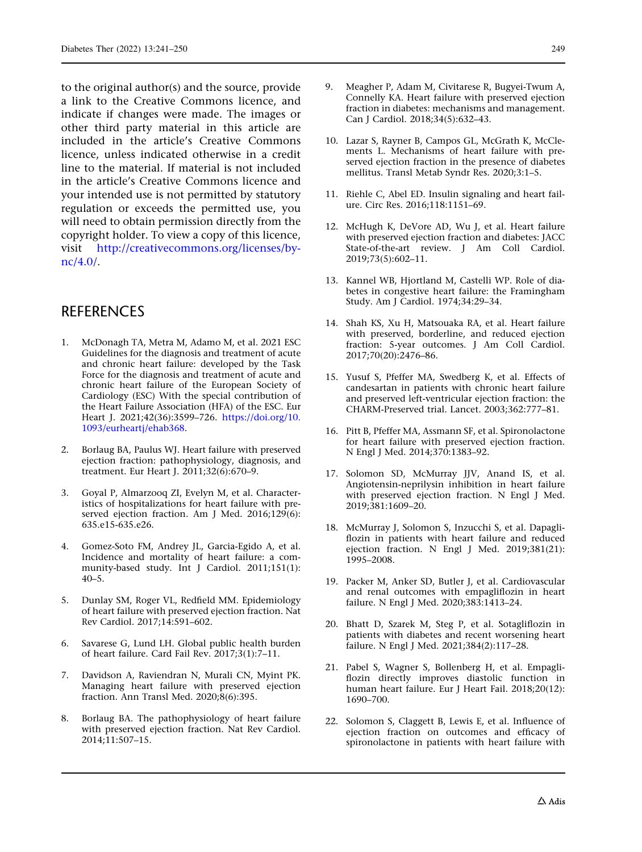<span id="page-8-0"></span>to the original author(s) and the source, provide a link to the Creative Commons licence, and indicate if changes were made. The images or other third party material in this article are included in the article's Creative Commons licence, unless indicated otherwise in a credit line to the material. If material is not included in the article's Creative Commons licence and your intended use is not permitted by statutory regulation or exceeds the permitted use, you will need to obtain permission directly from the copyright holder. To view a copy of this licence, visit [http://creativecommons.org/licenses/by](http://creativecommons.org/licenses/by-nc/4.0/)[nc/4.0/](http://creativecommons.org/licenses/by-nc/4.0/).

#### **REFERENCES**

- 1. McDonagh TA, Metra M, Adamo M, et al. 2021 ESC Guidelines for the diagnosis and treatment of acute and chronic heart failure: developed by the Task Force for the diagnosis and treatment of acute and chronic heart failure of the European Society of Cardiology (ESC) With the special contribution of the Heart Failure Association (HFA) of the ESC. Eur Heart J. 2021;42(36):3599–726. [https://doi.org/10.](https://doi.org/10.1093/eurheartj/ehab368) [1093/eurheartj/ehab368](https://doi.org/10.1093/eurheartj/ehab368).
- 2. Borlaug BA, Paulus WJ. Heart failure with preserved ejection fraction: pathophysiology, diagnosis, and treatment. Eur Heart J. 2011;32(6):670–9.
- 3. Goyal P, Almarzooq ZI, Evelyn M, et al. Characteristics of hospitalizations for heart failure with preserved ejection fraction. Am J Med. 2016;129(6): 635.e15-635.e26.
- 4. Gomez-Soto FM, Andrey JL, Garcia-Egido A, et al. Incidence and mortality of heart failure: a community-based study. Int J Cardiol. 2011;151(1):  $40-5$ .
- 5. Dunlay SM, Roger VL, Redfield MM. Epidemiology of heart failure with preserved ejection fraction. Nat Rev Cardiol. 2017;14:591–602.
- 6. Savarese G, Lund LH. Global public health burden of heart failure. Card Fail Rev. 2017;3(1):7–11.
- 7. Davidson A, Raviendran N, Murali CN, Myint PK. Managing heart failure with preserved ejection fraction. Ann Transl Med. 2020;8(6):395.
- 8. Borlaug BA. The pathophysiology of heart failure with preserved ejection fraction. Nat Rev Cardiol. 2014;11:507–15.
- 9. Meagher P, Adam M, Civitarese R, Bugyei-Twum A, Connelly KA. Heart failure with preserved ejection fraction in diabetes: mechanisms and management. Can J Cardiol. 2018;34(5):632–43.
- 10. Lazar S, Rayner B, Campos GL, McGrath K, McClements L. Mechanisms of heart failure with preserved ejection fraction in the presence of diabetes mellitus. Transl Metab Syndr Res. 2020;3:1–5.
- 11. Riehle C, Abel ED. Insulin signaling and heart failure. Circ Res. 2016;118:1151–69.
- 12. McHugh K, DeVore AD, Wu J, et al. Heart failure with preserved ejection fraction and diabetes: JACC State-of-the-art review. J Am Coll Cardiol. 2019;73(5):602–11.
- 13. Kannel WB, Hjortland M, Castelli WP. Role of diabetes in congestive heart failure: the Framingham Study. Am J Cardiol. 1974;34:29–34.
- 14. Shah KS, Xu H, Matsouaka RA, et al. Heart failure with preserved, borderline, and reduced ejection fraction: 5-year outcomes. J Am Coll Cardiol. 2017;70(20):2476–86.
- 15. Yusuf S, Pfeffer MA, Swedberg K, et al. Effects of candesartan in patients with chronic heart failure and preserved left-ventricular ejection fraction: the CHARM-Preserved trial. Lancet. 2003;362:777–81.
- 16. Pitt B, Pfeffer MA, Assmann SF, et al. Spironolactone for heart failure with preserved ejection fraction. N Engl J Med. 2014;370:1383–92.
- 17. Solomon SD, McMurray JJV, Anand IS, et al. Angiotensin-neprilysin inhibition in heart failure with preserved ejection fraction. N Engl J Med. 2019;381:1609–20.
- 18. McMurray J, Solomon S, Inzucchi S, et al. Dapagliflozin in patients with heart failure and reduced ejection fraction. N Engl J Med. 2019;381(21): 1995–2008.
- 19. Packer M, Anker SD, Butler J, et al. Cardiovascular and renal outcomes with empagliflozin in heart failure. N Engl J Med. 2020;383:1413–24.
- 20. Bhatt D, Szarek M, Steg P, et al. Sotagliflozin in patients with diabetes and recent worsening heart failure. N Engl J Med. 2021;384(2):117–28.
- 21. Pabel S, Wagner S, Bollenberg H, et al. Empagliflozin directly improves diastolic function in human heart failure. Eur J Heart Fail. 2018;20(12): 1690–700.
- 22. Solomon S, Claggett B, Lewis E, et al. Influence of ejection fraction on outcomes and efficacy of spironolactone in patients with heart failure with